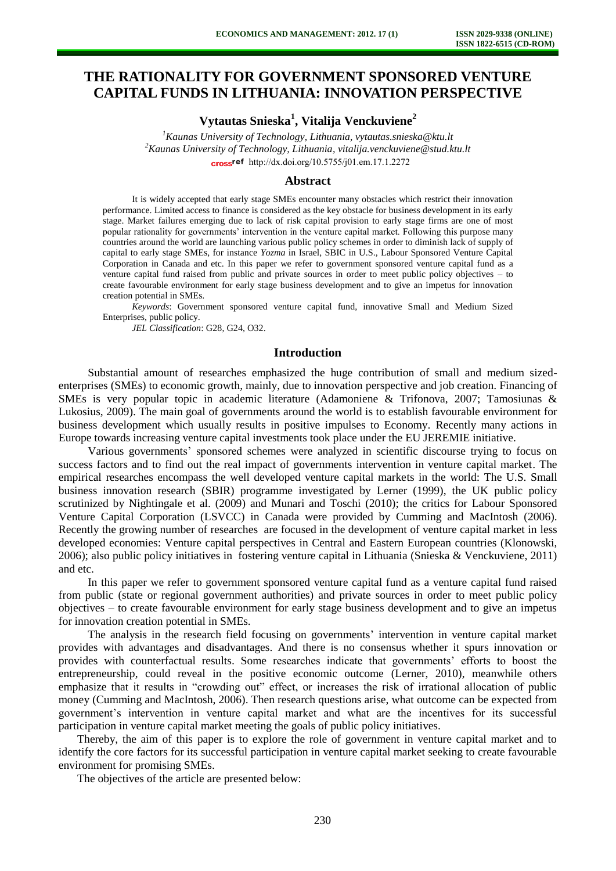# **THE RATIONALITY FOR GOVERNMENT SPONSORED VENTURE CAPITAL FUNDS IN LITHUANIA: INNOVATION PERSPECTIVE**

**Vytautas Snieska<sup>1</sup> , Vitalija Venckuviene<sup>2</sup>**

*<sup>1</sup>Kaunas University of Technology, Lithuania, vytautas.snieska@ktu.lt <sup>2</sup>Kaunas University of Technology, Lithuania, vitalija.venckuviene@stud.ktu.lt*  [http://dx.doi.org/10.5755/j01.e](http://dx.doi.org/10.5755/j01.em.17.1.2272)m.17.1.2272

#### **Abstract**

It is widely accepted that early stage SMEs encounter many obstacles which restrict their innovation performance. Limited access to finance is considered as the key obstacle for business development in its early stage. Market failures emerging due to lack of risk capital provision to early stage firms are one of most popular rationality for governments' intervention in the venture capital market. Following this purpose many countries around the world are launching various public policy schemes in order to diminish lack of supply of capital to early stage SMEs, for instance *Yozma* in Israel, SBIC in U.S., Labour Sponsored Venture Capital Corporation in Canada and etc. In this paper we refer to government sponsored venture capital fund as a venture capital fund raised from public and private sources in order to meet public policy objectives – to create favourable environment for early stage business development and to give an impetus for innovation creation potential in SMEs.

*Keywords*: Government sponsored venture capital fund, innovative Small and Medium Sized Enterprises, public policy.

*JEL Classification*: G28, G24, O32.

### **Introduction**

Substantial amount of researches emphasized the huge contribution of small and medium sizedenterprises (SMEs) to economic growth, mainly, due to innovation perspective and job creation. Financing of SMEs is very popular topic in academic literature (Adamoniene & Trifonova, 2007; Tamosiunas & Lukosius, 2009). The main goal of governments around the world is to establish favourable environment for business development which usually results in positive impulses to Economy. Recently many actions in Europe towards increasing venture capital investments took place under the EU JEREMIE initiative.

Various governments' sponsored schemes were analyzed in scientific discourse trying to focus on success factors and to find out the real impact of governments intervention in venture capital market. The empirical researches encompass the well developed venture capital markets in the world: The U.S. Small business innovation research (SBIR) programme investigated by Lerner (1999), the UK public policy scrutinized by Nightingale et al. (2009) and Munari and Toschi (2010); the critics for Labour Sponsored Venture Capital Corporation (LSVCC) in Canada were provided by Cumming and MacIntosh (2006). Recently the growing number of researches are focused in the development of venture capital market in less developed economies: Venture capital perspectives in Central and Eastern European countries (Klonowski, 2006); also public policy initiatives in fostering venture capital in Lithuania (Snieska & Venckuviene, 2011) and etc.

In this paper we refer to government sponsored venture capital fund as a venture capital fund raised from public (state or regional government authorities) and private sources in order to meet public policy objectives – to create favourable environment for early stage business development and to give an impetus for innovation creation potential in SMEs.

The analysis in the research field focusing on governments' intervention in venture capital market provides with advantages and disadvantages. And there is no consensus whether it spurs innovation or provides with counterfactual results. Some researches indicate that governments' efforts to boost the entrepreneurship, could reveal in the positive economic outcome (Lerner, 2010), meanwhile others emphasize that it results in "crowding out" effect, or increases the risk of irrational allocation of public money (Cumming and MacIntosh, 2006). Then research questions arise, what outcome can be expected from government's intervention in venture capital market and what are the incentives for its successful participation in venture capital market meeting the goals of public policy initiatives.

Thereby, the aim of this paper is to explore the role of government in venture capital market and to identify the core factors for its successful participation in venture capital market seeking to create favourable environment for promising SMEs.

The objectives of the article are presented below: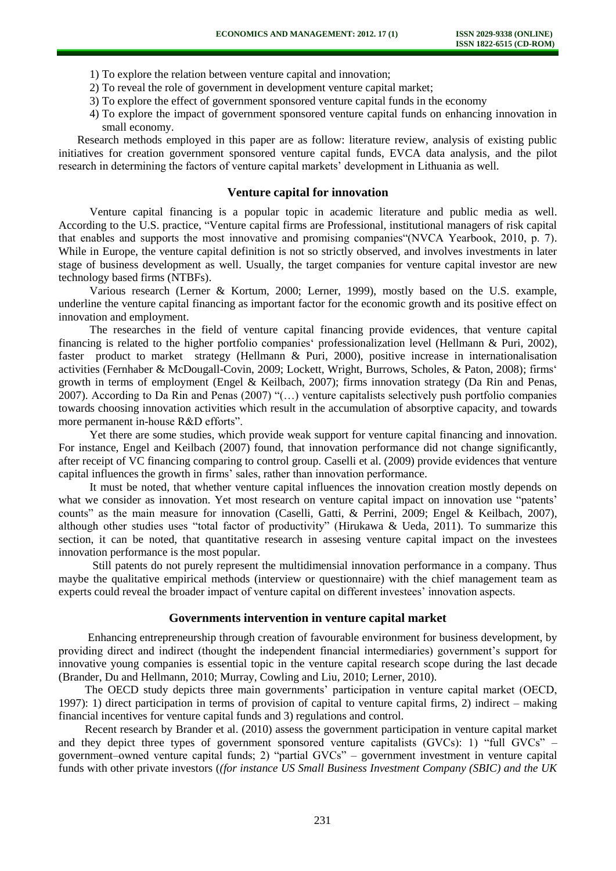- 1) To explore the relation between venture capital and innovation;
- 2) To reveal the role of government in development venture capital market;
- 3) To explore the effect of government sponsored venture capital funds in the economy
- 4) To explore the impact of government sponsored venture capital funds on enhancing innovation in small economy.

Research methods employed in this paper are as follow: literature review, analysis of existing public initiatives for creation government sponsored venture capital funds, EVCA data analysis, and the pilot research in determining the factors of venture capital markets' development in Lithuania as well.

#### **Venture capital for innovation**

Venture capital financing is a popular topic in academic literature and public media as well. According to the U.S. practice, "Venture capital firms are Professional, institutional managers of risk capital that enables and supports the most innovative and promising companies"(NVCA Yearbook, 2010, p. 7). While in Europe, the venture capital definition is not so strictly observed, and involves investments in later stage of business development as well. Usually, the target companies for venture capital investor are new technology based firms (NTBFs).

Various research (Lerner & Kortum, 2000; Lerner, 1999), mostly based on the U.S. example, underline the venture capital financing as important factor for the economic growth and its positive effect on innovation and employment.

The researches in the field of venture capital financing provide evidences, that venture capital financing is related to the higher portfolio companies' professionalization level (Hellmann & Puri, 2002), faster product to market strategy (Hellmann & Puri, 2000), positive increase in internationalisation activities (Fernhaber & McDougall-Covin, 2009; Lockett, Wright, Burrows, Scholes, & Paton, 2008); firms' growth in terms of employment (Engel & Keilbach, 2007); firms innovation strategy (Da Rin and Penas, 2007). According to Da Rin and Penas (2007) "(…) venture capitalists selectively push portfolio companies towards choosing innovation activities which result in the accumulation of absorptive capacity, and towards more permanent in-house R&D efforts".

Yet there are some studies, which provide weak support for venture capital financing and innovation. For instance, Engel and Keilbach (2007) found, that innovation performance did not change significantly, after receipt of VC financing comparing to control group. Caselli et al. (2009) provide evidences that venture capital influences the growth in firms' sales, rather than innovation performance.

It must be noted, that whether venture capital influences the innovation creation mostly depends on what we consider as innovation. Yet most research on venture capital impact on innovation use "patents' counts" as the main measure for innovation (Caselli, Gatti, & Perrini, 2009; Engel & Keilbach, 2007), although other studies uses "total factor of productivity" (Hirukawa & Ueda, 2011). To summarize this section, it can be noted, that quantitative research in assesing venture capital impact on the investees innovation performance is the most popular.

Still patents do not purely represent the multidimensial innovation performance in a company. Thus maybe the qualitative empirical methods (interview or questionnaire) with the chief management team as experts could reveal the broader impact of venture capital on different investees' innovation aspects.

## **Governments intervention in venture capital market**

Enhancing entrepreneurship through creation of favourable environment for business development, by providing direct and indirect (thought the independent financial intermediaries) government's support for innovative young companies is essential topic in the venture capital research scope during the last decade (Brander, Du and Hellmann, 2010; Murray, Cowling and Liu, 2010; Lerner, 2010).

The OECD study depicts three main governments' participation in venture capital market (OECD, 1997): 1) direct participation in terms of provision of capital to venture capital firms, 2) indirect – making financial incentives for venture capital funds and 3) regulations and control.

Recent research by Brander et al. (2010) assess the government participation in venture capital market and they depict three types of government sponsored venture capitalists (GVCs): 1) "full GVCs" – government–owned venture capital funds; 2) "partial GVCs" – government investment in venture capital funds with other private investors (*(for instance US Small Business Investment Company (SBIC) and the UK*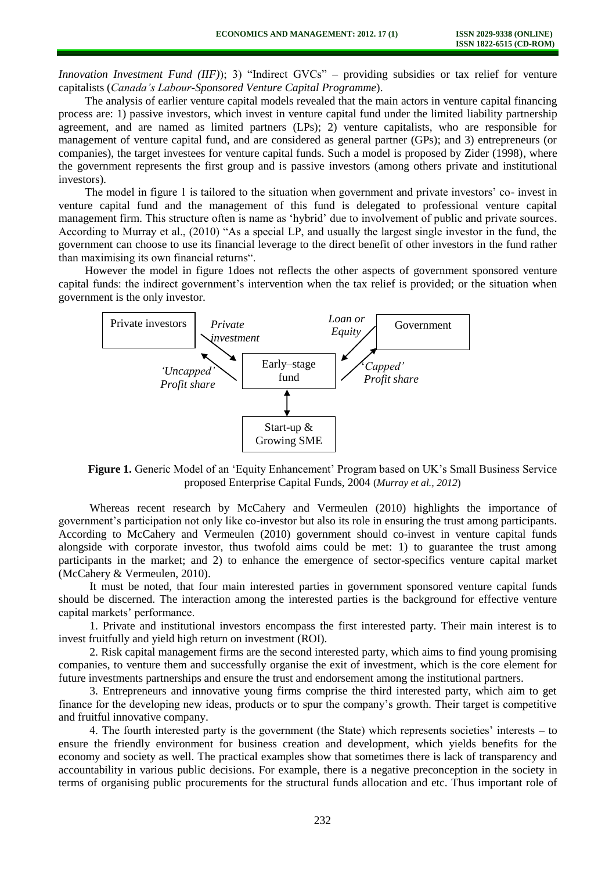*Innovation Investment Fund (IIF)*); 3) "Indirect GVCs" – providing subsidies or tax relief for venture capitalists (*Canada's Labour-Sponsored Venture Capital Programme*).

The analysis of earlier venture capital models revealed that the main actors in venture capital financing process are: 1) passive investors, which invest in venture capital fund under the limited liability partnership agreement, and are named as limited partners (LPs); 2) venture capitalists, who are responsible for management of venture capital fund, and are considered as general partner (GPs); and 3) entrepreneurs (or companies), the target investees for venture capital funds. Such a model is proposed by Zider (1998), where the government represents the first group and is passive investors (among others private and institutional investors).

The model in figure 1 is tailored to the situation when government and private investors' co- invest in venture capital fund and the management of this fund is delegated to professional venture capital management firm. This structure often is name as 'hybrid' due to involvement of public and private sources. According to Murray et al., (2010) "As a special LP, and usually the largest single investor in the fund, the government can choose to use its financial leverage to the direct benefit of other investors in the fund rather than maximising its own financial returns".

However the model in figure 1does not reflects the other aspects of government sponsored venture capital funds: the indirect government's intervention when the tax relief is provided; or the situation when government is the only investor.



**Figure 1.** Generic Model of an 'Equity Enhancement' Program based on UK's Small Business Service proposed Enterprise Capital Funds, 2004 (*Murray et al., 2012*)

Whereas recent research by McCahery and Vermeulen (2010) highlights the importance of government's participation not only like co-investor but also its role in ensuring the trust among participants. According to McCahery and Vermeulen (2010) government should co-invest in venture capital funds alongside with corporate investor, thus twofold aims could be met: 1) to guarantee the trust among participants in the market; and 2) to enhance the emergence of sector-specifics venture capital market (McCahery & Vermeulen, 2010).

It must be noted, that four main interested parties in government sponsored venture capital funds should be discerned. The interaction among the interested parties is the background for effective venture capital markets' performance.

1. Private and institutional investors encompass the first interested party. Their main interest is to invest fruitfully and yield high return on investment (ROI).

2. Risk capital management firms are the second interested party, which aims to find young promising companies, to venture them and successfully organise the exit of investment, which is the core element for future investments partnerships and ensure the trust and endorsement among the institutional partners.

3. Entrepreneurs and innovative young firms comprise the third interested party, which aim to get finance for the developing new ideas, products or to spur the company's growth. Their target is competitive and fruitful innovative company.

4. The fourth interested party is the government (the State) which represents societies' interests – to ensure the friendly environment for business creation and development, which yields benefits for the economy and society as well. The practical examples show that sometimes there is lack of transparency and accountability in various public decisions. For example, there is a negative preconception in the society in terms of organising public procurements for the structural funds allocation and etc. Thus important role of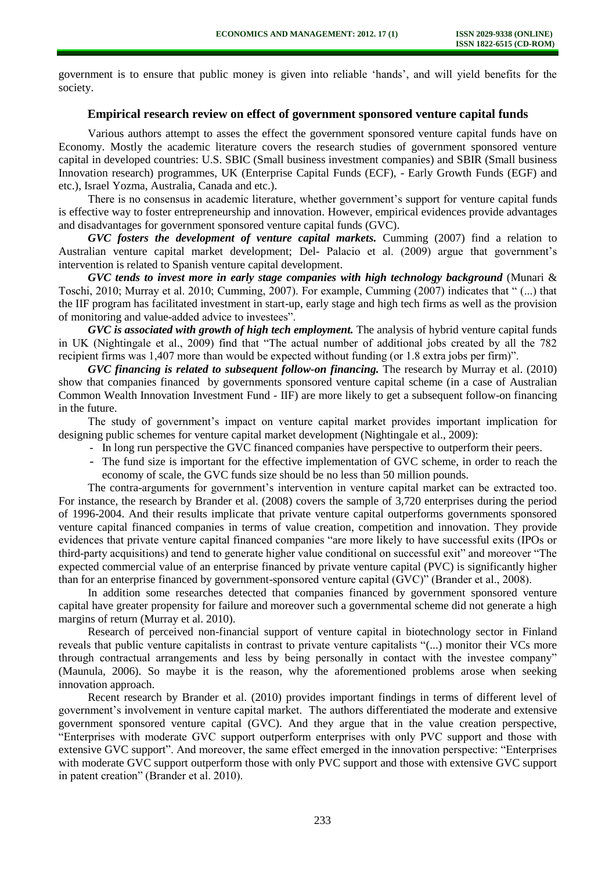government is to ensure that public money is given into reliable 'hands', and will yield benefits for the society.

# **Empirical research review on effect of government sponsored venture capital funds**

Various authors attempt to asses the effect the government sponsored venture capital funds have on Economy. Mostly the academic literature covers the research studies of government sponsored venture capital in developed countries: U.S. SBIC (Small business investment companies) and SBIR (Small business Innovation research) programmes, UK (Enterprise Capital Funds (ECF), - Early Growth Funds (EGF) and etc.), Israel Yozma, Australia, Canada and etc.).

There is no consensus in academic literature, whether government's support for venture capital funds is effective way to foster entrepreneurship and innovation. However, empirical evidences provide advantages and disadvantages for government sponsored venture capital funds (GVC).

*GVC fosters the development of venture capital markets.* Cumming (2007) find a relation to Australian venture capital market development; Del- Palacio et al. (2009) argue that government's intervention is related to Spanish venture capital development.

*GVC tends to invest more in early stage companies with high technology background* (Munari & Toschi, 2010; Murray et al. 2010; Cumming, 2007). For example, Cumming (2007) indicates that " (...) that the IIF program has facilitated investment in start-up, early stage and high tech firms as well as the provision of monitoring and value-added advice to investees".

*GVC is associated with growth of high tech employment.* The analysis of hybrid venture capital funds in UK (Nightingale et al., 2009) find that "The actual number of additional jobs created by all the 782 recipient firms was 1,407 more than would be expected without funding (or 1.8 extra jobs per firm)".

*GVC financing is related to subsequent follow-on financing.* The research by Murray et al. (2010) show that companies financed by governments sponsored venture capital scheme (in a case of Australian Common Wealth Innovation Investment Fund - IIF) are more likely to get a subsequent follow-on financing in the future.

The study of government's impact on venture capital market provides important implication for designing public schemes for venture capital market development (Nightingale et al., 2009):

- In long run perspective the GVC financed companies have perspective to outperform their peers.
- The fund size is important for the effective implementation of GVC scheme, in order to reach the economy of scale, the GVC funds size should be no less than 50 million pounds.

The contra-arguments for government's intervention in venture capital market can be extracted too. For instance, the research by Brander et al. (2008) covers the sample of 3,720 enterprises during the period of 1996-2004. And their results implicate that private venture capital outperforms governments sponsored venture capital financed companies in terms of value creation, competition and innovation. They provide evidences that private venture capital financed companies "are more likely to have successful exits (IPOs or third-party acquisitions) and tend to generate higher value conditional on successful exit" and moreover "The expected commercial value of an enterprise financed by private venture capital (PVC) is significantly higher than for an enterprise financed by government-sponsored venture capital (GVC)" (Brander et al., 2008).

In addition some researches detected that companies financed by government sponsored venture capital have greater propensity for failure and moreover such a governmental scheme did not generate a high margins of return (Murray et al. 2010).

Research of perceived non-financial support of venture capital in biotechnology sector in Finland reveals that public venture capitalists in contrast to private venture capitalists "(...) monitor their VCs more through contractual arrangements and less by being personally in contact with the investee company" (Maunula, 2006). So maybe it is the reason, why the aforementioned problems arose when seeking innovation approach.

Recent research by Brander et al. (2010) provides important findings in terms of different level of government's involvement in venture capital market. The authors differentiated the moderate and extensive government sponsored venture capital (GVC). And they argue that in the value creation perspective, "Enterprises with moderate GVC support outperform enterprises with only PVC support and those with extensive GVC support". And moreover, the same effect emerged in the innovation perspective: "Enterprises with moderate GVC support outperform those with only PVC support and those with extensive GVC support in patent creation" (Brander et al. 2010).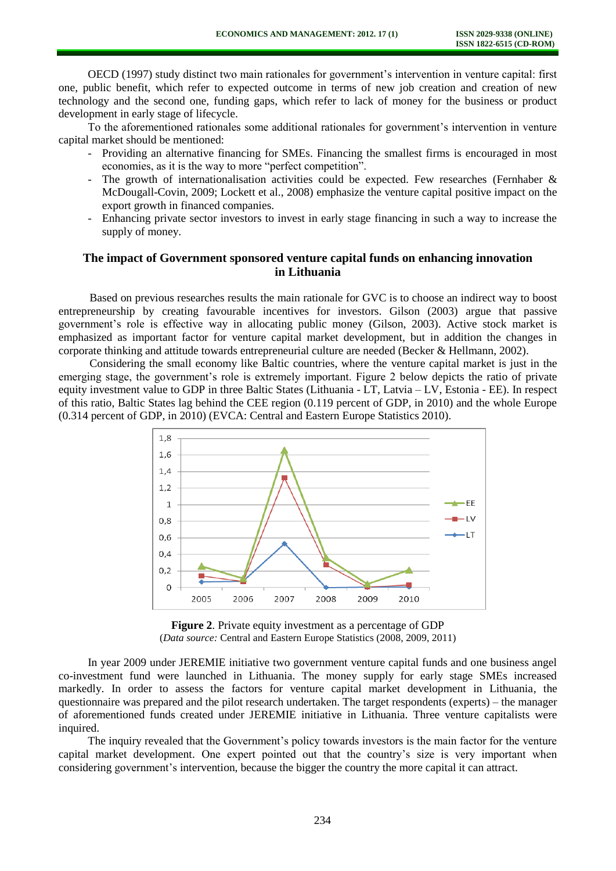OECD (1997) study distinct two main rationales for government's intervention in venture capital: first one, public benefit, which refer to expected outcome in terms of new job creation and creation of new technology and the second one, funding gaps, which refer to lack of money for the business or product development in early stage of lifecycle.

To the aforementioned rationales some additional rationales for government's intervention in venture capital market should be mentioned:

- Providing an alternative financing for SMEs. Financing the smallest firms is encouraged in most economies, as it is the way to more "perfect competition".
- The growth of internationalisation activities could be expected. Few researches (Fernhaber & McDougall-Covin, 2009; Lockett et al., 2008) emphasize the venture capital positive impact on the export growth in financed companies.
- Enhancing private sector investors to invest in early stage financing in such a way to increase the supply of money.

# **The impact of Government sponsored venture capital funds on enhancing innovation in Lithuania**

Based on previous researches results the main rationale for GVC is to choose an indirect way to boost entrepreneurship by creating favourable incentives for investors. Gilson (2003) argue that passive government's role is effective way in allocating public money (Gilson, 2003). Active stock market is emphasized as important factor for venture capital market development, but in addition the changes in corporate thinking and attitude towards entrepreneurial culture are needed (Becker & Hellmann, 2002).

Considering the small economy like Baltic countries, where the venture capital market is just in the emerging stage, the government's role is extremely important. Figure 2 below depicts the ratio of private equity investment value to GDP in three Baltic States (Lithuania - LT, Latvia – LV, Estonia - EE). In respect of this ratio, Baltic States lag behind the CEE region (0.119 percent of GDP, in 2010) and the whole Europe (0.314 percent of GDP, in 2010) (EVCA: Central and Eastern Europe Statistics 2010).



**Figure 2**. Private equity investment as a percentage of GDP (*Data source:* Central and Eastern Europe Statistics (2008, 2009, 2011)

In year 2009 under JEREMIE initiative two government venture capital funds and one business angel co-investment fund were launched in Lithuania. The money supply for early stage SMEs increased markedly. In order to assess the factors for venture capital market development in Lithuania, the questionnaire was prepared and the pilot research undertaken. The target respondents (experts) – the manager of aforementioned funds created under JEREMIE initiative in Lithuania. Three venture capitalists were inquired.

The inquiry revealed that the Government's policy towards investors is the main factor for the venture capital market development. One expert pointed out that the country's size is very important when considering government's intervention, because the bigger the country the more capital it can attract.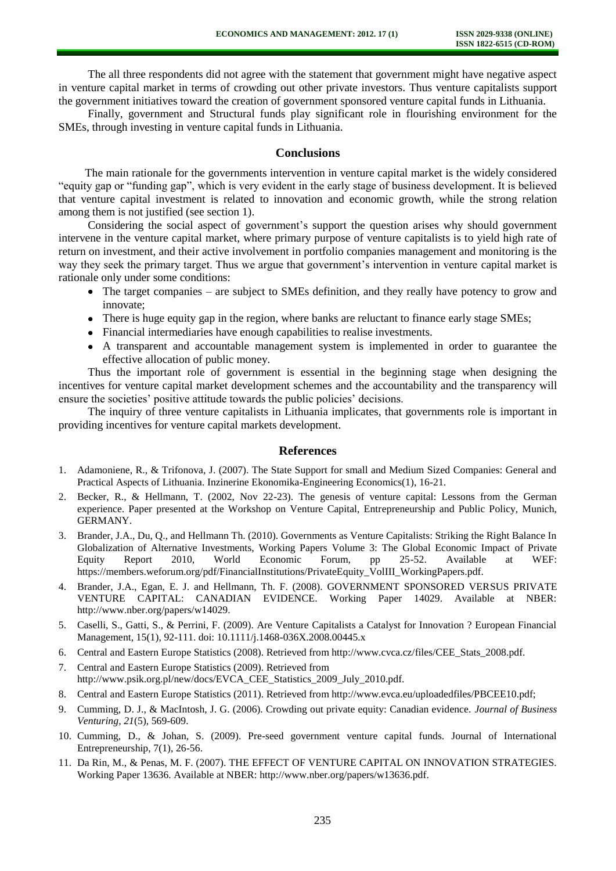The all three respondents did not agree with the statement that government might have negative aspect in venture capital market in terms of crowding out other private investors. Thus venture capitalists support the government initiatives toward the creation of government sponsored venture capital funds in Lithuania.

Finally, government and Structural funds play significant role in flourishing environment for the SMEs, through investing in venture capital funds in Lithuania.

#### **Conclusions**

The main rationale for the governments intervention in venture capital market is the widely considered "equity gap or "funding gap", which is very evident in the early stage of business development. It is believed that venture capital investment is related to innovation and economic growth, while the strong relation among them is not justified (see section 1).

Considering the social aspect of government's support the question arises why should government intervene in the venture capital market, where primary purpose of venture capitalists is to yield high rate of return on investment, and their active involvement in portfolio companies management and monitoring is the way they seek the primary target. Thus we argue that government's intervention in venture capital market is rationale only under some conditions:

- The target companies are subject to SMEs definition, and they really have potency to grow and innovate;
- There is huge equity gap in the region, where banks are reluctant to finance early stage SMEs;
- Financial intermediaries have enough capabilities to realise investments.
- A transparent and accountable management system is implemented in order to guarantee the effective allocation of public money.

Thus the important role of government is essential in the beginning stage when designing the incentives for venture capital market development schemes and the accountability and the transparency will ensure the societies' positive attitude towards the public policies' decisions.

The inquiry of three venture capitalists in Lithuania implicates, that governments role is important in providing incentives for venture capital markets development.

# **References**

- 1. Adamoniene, R., & Trifonova, J. (2007). The State Support for small and Medium Sized Companies: General and Practical Aspects of Lithuania. Inzinerine Ekonomika-Engineering Economics(1), 16-21.
- 2. Becker, R., & Hellmann, T. (2002, Nov 22-23). The genesis of venture capital: Lessons from the German experience. Paper presented at the Workshop on Venture Capital, Entrepreneurship and Public Policy, Munich, GERMANY.
- 3. Brander, J.A., Du, Q., and Hellmann Th. (2010). Governments as Venture Capitalists: Striking the Right Balance In Globalization of Alternative Investments, Working Papers Volume 3: The Global Economic Impact of Private Equity Report 2010, World Economic Forum, pp 25-52. Available at WEF: https://members.weforum.org/pdf/FinancialInstitutions/PrivateEquity\_VolIII\_WorkingPapers.pdf.
- 4. Brander, J.A., Egan, E. J. and Hellmann, Th. F. (2008). GOVERNMENT SPONSORED VERSUS PRIVATE VENTURE CAPITAL: CANADIAN EVIDENCE. Working Paper 14029. Available at NBER: http://www.nber.org/papers/w14029.
- 5. Caselli, S., Gatti, S., & Perrini, F. (2009). Are Venture Capitalists a Catalyst for Innovation ? European Financial Management, 15(1), 92-111. doi: 10.1111/j.1468-036X.2008.00445.x
- 6. Central and Eastern Europe Statistics (2008). Retrieved from http://www.cvca.cz/files/CEE\_Stats\_2008.pdf.
- 7. Central and Eastern Europe Statistics (2009). Retrieved from http://www.psik.org.pl/new/docs/EVCA\_CEE\_Statistics\_2009\_July\_2010.pdf.
- 8. Central and Eastern Europe Statistics (2011). Retrieved from http://www.evca.eu/uploadedfiles/PBCEE10.pdf;
- 9. Cumming, D. J., & MacIntosh, J. G. (2006). Crowding out private equity: Canadian evidence. *Journal of Business Venturing, 21*(5), 569-609.
- 10. Cumming, D., & Johan, S. (2009). Pre-seed government venture capital funds. Journal of International Entrepreneurship, 7(1), 26-56.
- 11. Da Rin, M., & Penas, M. F. (2007). THE EFFECT OF VENTURE CAPITAL ON INNOVATION STRATEGIES. Working Paper 13636. Available at NBER: [http://www.nber.org/papers/w13636.pdf.](http://www.nber.org/papers/w13636.pdf)